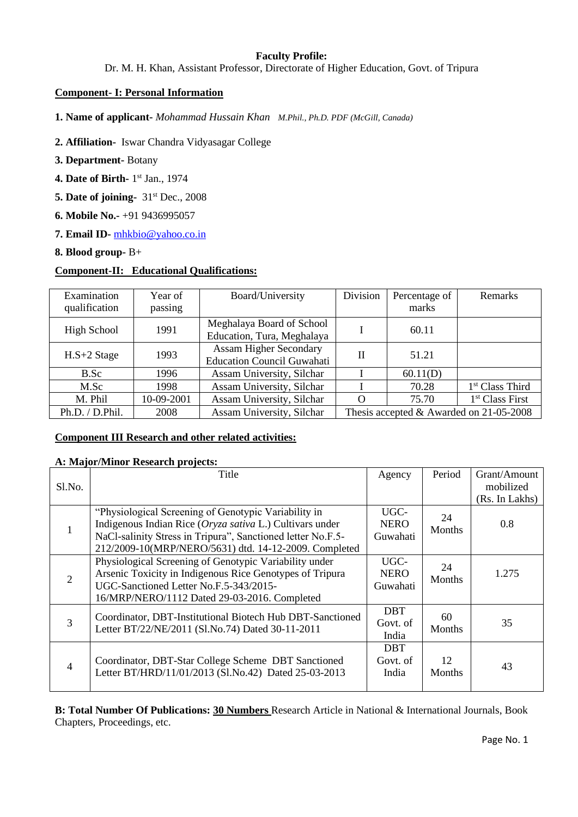## **Faculty Profile:**

Dr. M. H. Khan, Assistant Professor, Directorate of Higher Education, Govt. of Tripura

### **Component- I: Personal Information**

**1. Name of applicant-** *Mohammad Hussain Khan M.Phil., Ph.D. PDF (McGill, Canada)*

- **2. Affiliation-** Iswar Chandra Vidyasagar College
- **3. Department-** Botany
- **4. Date of Birth-** 1<sup>st</sup> Jan., 1974
- **5. Date of joining-**  $31<sup>st</sup>$  Dec., 2008
- **6. Mobile No.-** +91 9436995057
- **7. Email ID-** [mhkbio@yahoo.co.in](mailto:mhkbio@yahoo.co.in)
- **8. Blood group-** B+

# **Component-II: Educational Qualifications:**

| Examination<br>qualification | Year of<br>passing | Board/University                                                   | Division                                | Percentage of<br>marks | <b>Remarks</b>              |  |
|------------------------------|--------------------|--------------------------------------------------------------------|-----------------------------------------|------------------------|-----------------------------|--|
| High School                  | 1991               | Meghalaya Board of School<br>Education, Tura, Meghalaya            |                                         | 60.11                  |                             |  |
| $H.S+2$ Stage                | 1993               | <b>Assam Higher Secondary</b><br><b>Education Council Guwahati</b> | $\mathbf{H}$                            | 51.21                  |                             |  |
| B.Sc                         | 1996               | Assam University, Silchar                                          |                                         | 60.11(D)               |                             |  |
| M.Sc                         | 1998               | Assam University, Silchar                                          |                                         | 70.28                  | 1 <sup>st</sup> Class Third |  |
| M. Phil                      | 10-09-2001         | Assam University, Silchar                                          | $\Omega$                                | 75.70                  | 1 <sup>st</sup> Class First |  |
| Ph.D. / D.Phil.              | 2008               | Assam University, Silchar                                          | Thesis accepted & Awarded on 21-05-2008 |                        |                             |  |

## **Component III Research and other related activities:**

#### **A: Major/Minor Research projects:**

| Sl.No.         | Title                                                                                                                                                                                                                                    | Agency                          | Period              | Grant/Amount<br>mobilized<br>(Rs. In Lakhs) |
|----------------|------------------------------------------------------------------------------------------------------------------------------------------------------------------------------------------------------------------------------------------|---------------------------------|---------------------|---------------------------------------------|
|                | "Physiological Screening of Genotypic Variability in<br>Indigenous Indian Rice (Oryza sativa L.) Cultivars under<br>NaCl-salinity Stress in Tripura", Sanctioned letter No.F.5-<br>212/2009-10(MRP/NERO/5631) dtd. 14-12-2009. Completed | UGC-<br><b>NERO</b><br>Guwahati | 24<br><b>Months</b> | 0.8                                         |
| 2              | Physiological Screening of Genotypic Variability under<br>Arsenic Toxicity in Indigenous Rice Genotypes of Tripura<br>UGC-Sanctioned Letter No.F.5-343/2015-<br>16/MRP/NERO/1112 Dated 29-03-2016. Completed                             | UGC-<br><b>NERO</b><br>Guwahati | 24<br><b>Months</b> | 1.275                                       |
| 3              | Coordinator, DBT-Institutional Biotech Hub DBT-Sanctioned<br>Letter BT/22/NE/2011 (Sl.No.74) Dated 30-11-2011                                                                                                                            | <b>DBT</b><br>Govt. of<br>India | 60<br><b>Months</b> | 35                                          |
| $\overline{4}$ | Coordinator, DBT-Star College Scheme DBT Sanctioned<br>Letter BT/HRD/11/01/2013 (Sl.No.42) Dated 25-03-2013                                                                                                                              | <b>DBT</b><br>Govt. of<br>India | 12<br><b>Months</b> | 43                                          |

**B: Total Number Of Publications: 30 Numbers** Research Article in National & International Journals, Book Chapters, Proceedings, etc.